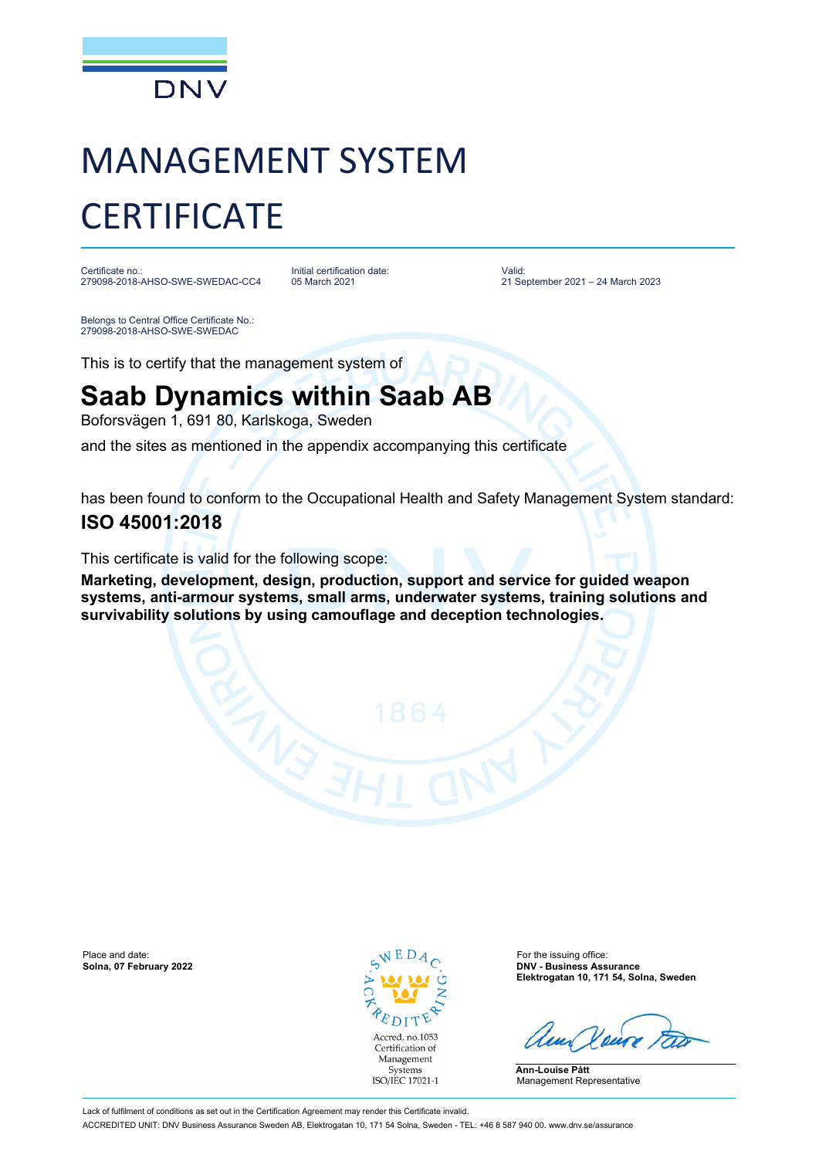

# MANAGEMENT SYSTEM **CERTIFICATE**

Certificate no.: 279098-2018-AHSO-SWE-SWEDAC-CC4 Initial certification date: 05 March 2021

Valid: 21 September 2021 – 24 March 2023

Belongs to Central Office Certificate No.: 279098-2018-AHSO-SWE-SWEDAC

This is to certify that the management system of

## **Saab Dynamics within Saab AB**

Boforsvägen 1, 691 80, Karlskoga, Sweden

and the sites as mentioned in the appendix accompanying this certificate

has been found to conform to the Occupational Health and Safety Management System standard:

### **ISO 45001:2018**

This certificate is valid for the following scope:

**Marketing, development, design, production, support and service for guided weapon systems, anti-armour systems, small arms, underwater systems, training solutions and survivability solutions by using camouflage and deception technologies.**

Place and date: **Solna, 07 February 2022 Solna, 07 For the issuing office: Solna, 07 February 2022 Solna, 07 February 2022** 



**Solna, 07 February 2022 DNV - Business Assurance Elektrogatan 10, 171 54, Solna, Sweden**

**Ann-Louise Pått** Management Representative

Lack of fulfilment of conditions as set out in the Certification Agreement may render this Certificate invalid. ACCREDITED UNIT: DNV Business Assurance Sweden AB, Elektrogatan 10, 171 54 Solna, Sweden - TEL: +46 8 587 940 00. www.dnv.se/assurance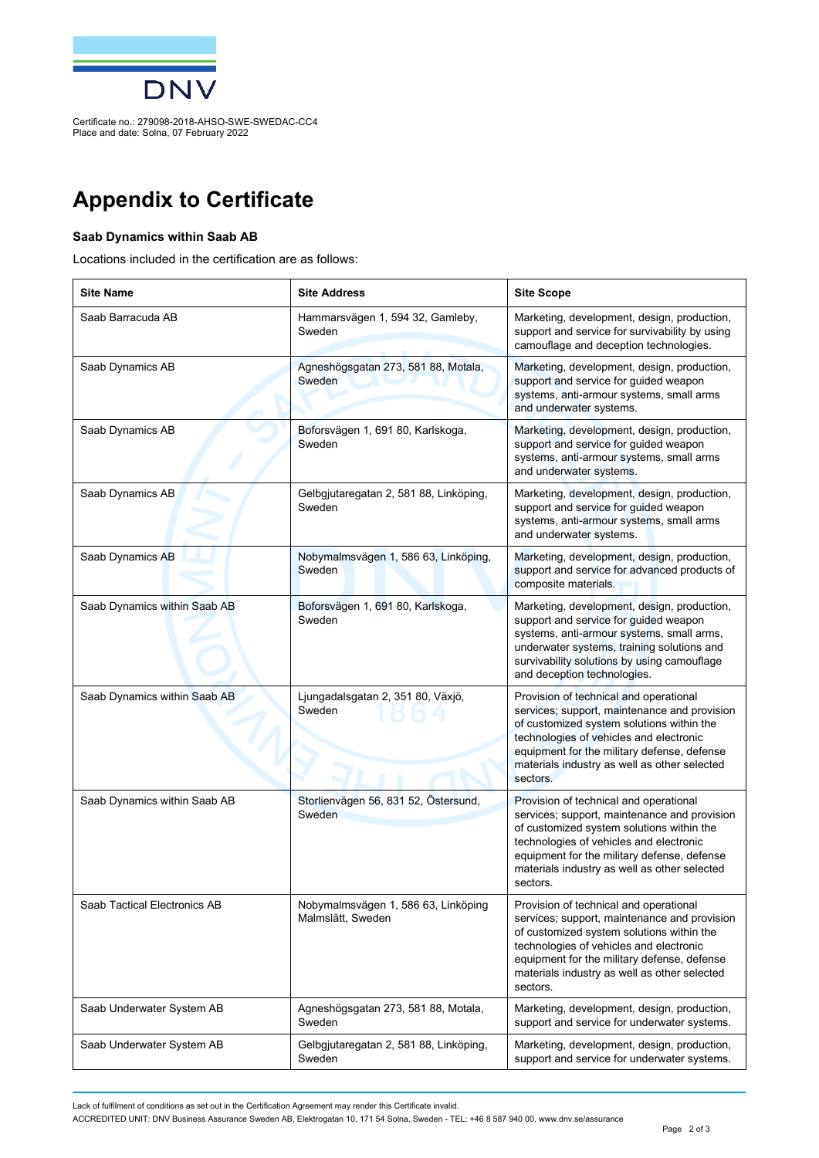

Certificate no.: 279098-2018-AHSO-SWE-SWEDAC-CC4 Place and date: Solna, 07 February 2022

## **Appendix to Certificate**

#### **Saab Dynamics within Saab AB**

Locations included in the certification are as follows:

| <b>Site Name</b>             | <b>Site Address</b>                                      | <b>Site Scope</b>                                                                                                                                                                                                                                                                         |
|------------------------------|----------------------------------------------------------|-------------------------------------------------------------------------------------------------------------------------------------------------------------------------------------------------------------------------------------------------------------------------------------------|
| Saab Barracuda AB            | Hammarsvägen 1, 594 32, Gamleby,<br>Sweden               | Marketing, development, design, production,<br>support and service for survivability by using<br>camouflage and deception technologies.                                                                                                                                                   |
| Saab Dynamics AB             | Agneshögsgatan 273, 581 88, Motala,<br>Sweden            | Marketing, development, design, production,<br>support and service for guided weapon<br>systems, anti-armour systems, small arms<br>and underwater systems.                                                                                                                               |
| Saab Dynamics AB             | Boforsvägen 1, 691 80, Karlskoga,<br>Sweden              | Marketing, development, design, production,<br>support and service for guided weapon<br>systems, anti-armour systems, small arms<br>and underwater systems.                                                                                                                               |
| Saab Dynamics AB             | Gelbgjutaregatan 2, 581 88, Linköping,<br>Sweden         | Marketing, development, design, production,<br>support and service for guided weapon<br>systems, anti-armour systems, small arms<br>and underwater systems.                                                                                                                               |
| Saab Dynamics AB             | Nobymalmsvägen 1, 586 63, Linköping,<br>Sweden           | Marketing, development, design, production,<br>support and service for advanced products of<br>composite materials.                                                                                                                                                                       |
| Saab Dynamics within Saab AB | Boforsvägen 1, 691 80, Karlskoga,<br>Sweden              | Marketing, development, design, production,<br>support and service for guided weapon<br>systems, anti-armour systems, small arms,<br>underwater systems, training solutions and<br>survivability solutions by using camouflage<br>and deception technologies.                             |
| Saab Dynamics within Saab AB | Ljungadalsgatan 2, 351 80, Växjö,<br>Sweden              | Provision of technical and operational<br>services; support, maintenance and provision<br>of customized system solutions within the<br>technologies of vehicles and electronic<br>equipment for the military defense, defense<br>materials industry as well as other selected<br>sectors. |
| Saab Dynamics within Saab AB | Storlienvägen 56, 831 52, Östersund,<br>Sweden           | Provision of technical and operational<br>services; support, maintenance and provision<br>of customized system solutions within the<br>technologies of vehicles and electronic<br>equipment for the military defense, defense<br>materials industry as well as other selected<br>sectors. |
| Saab Tactical Electronics AB | Nobymalmsvägen 1, 586 63, Linköping<br>Malmslätt, Sweden | Provision of technical and operational<br>services; support, maintenance and provision<br>of customized system solutions within the<br>technologies of vehicles and electronic<br>equipment for the military defense, defense<br>materials industry as well as other selected<br>sectors. |
| Saab Underwater System AB    | Agneshögsgatan 273, 581 88, Motala,<br>Sweden            | Marketing, development, design, production,<br>support and service for underwater systems.                                                                                                                                                                                                |
| Saab Underwater System AB    | Gelbgjutaregatan 2, 581 88, Linköping,<br>Sweden         | Marketing, development, design, production,<br>support and service for underwater systems.                                                                                                                                                                                                |

Lack of fulfilment of conditions as set out in the Certification Agreement may render this Certificate invalid.

ACCREDITED UNIT: DNV Business Assurance Sweden AB, Elektrogatan 10, 171 54 Solna, Sweden - TEL: +46 8 587 940 00. www.dnv.se/assurance